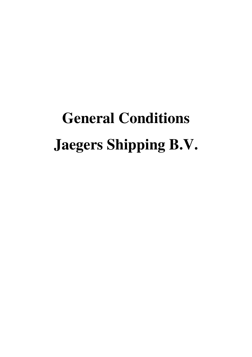# **General Conditions Jaegers Shipping B.V.**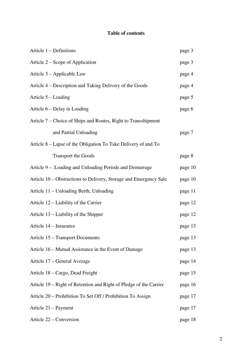# **Table of contents**

| Article 1 – Definitions                                            | page 3  |
|--------------------------------------------------------------------|---------|
| Article 2 – Scope of Application                                   | page 3  |
| Article 3 – Applicable Law                                         | page 4  |
| Article 4 – Description and Taking Delivery of the Goods           | page 4  |
| Article 5 – Loading                                                | page 5  |
| Article 6 – Delay in Loading                                       | page 6  |
| Article 7 – Choice of Ships and Routes, Right to Transshipment     |         |
| and Partial Unloading                                              | page 7  |
| Article 8 – Lapse of the Obligation To Take Delivery of and To     |         |
| <b>Transport the Goods</b>                                         | page 8  |
| Article 9 -: Loading and Unloading Periods and Demurrage           | page 10 |
| Article 10 – Obstructions to Delivery, Storage and Emergency Sale  | page 10 |
| Article 11 – Unloading Berth, Unloading                            | page 11 |
| Article 12 – Liability of the Carrier                              | page 12 |
| Article 13 – Liability of the Shipper                              | page 12 |
| Article 14 – Insurance                                             | page 13 |
| Article 15 – Transport Documents                                   | page 13 |
| Article 16 - Mutual Assistance in the Event of Damage              | page 13 |
| Article 17 – General Average                                       | page 14 |
| Article 18 – Cargo, Dead Freight                                   | page 15 |
| Article 19 – Right of Retention and Right of Pledge of the Carrier | page 16 |
| Article 20 – Prohibition To Set Off / Prohibition To Assign        | page 17 |
| Article 21 – Payment                                               | page 17 |
| Article 22 – Conversion                                            | page 18 |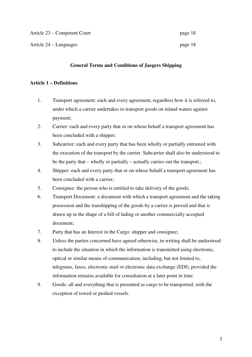| Article 23 – Competent Court | page 18 |
|------------------------------|---------|
| Article 24 – Languages       | page 18 |

## **General Terms and Conditions of Jaegers Shipping**

#### **Article 1 – Definitions**

- 1. Transport agreement: each and every agreement, regardless how it is referred to, under which a carrier undertakes to transport goods on inland waters against payment;
- 2. Carrier: each and every party that or on whose behalf a transport agreement has been concluded with a shipper;
- 3. Subcarrier: each and every party that has been wholly or partially entrusted with the execution of the transport by the carrier. Subcarrier shall also be understood to be the party that – wholly or partially – actually carries out the transport.;
- 4. Shipper: each and every party that or on whose behalf a transport agreement has been concluded with a carrier;
- 5. Consignee: the person who is entitled to take delivery of the goods;
- 6. Transport Document: a document with which a transport agreement and the taking possession and the transhipping of the goods by a carrier is proved and that is drawn up in the shape of a bill of lading or another commercially accepted document;
- 7. Party that has an Interest in the Cargo: shipper and consignee;
- 8. Unless the parties concerned have agreed otherwise, in writing shall be understood to include the situation in which the information is transmitted using electronic, optical or similar means of communication, including, but not limited to, telegrams, faxes, electronic mail or electronic data exchange (EDI), provided the information remains available for consultation at a later point in time.
- 9. Goods: all and everything that is presented as cargo to be transported, with the exception of towed or pushed vessels.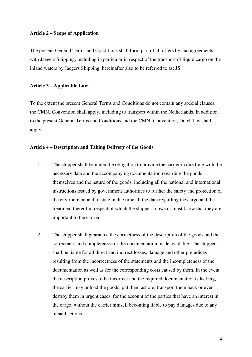#### **Article 2 – Scope of Application**

The present General Terms and Conditions shall form part of all offers by and agreements with Jaegers Shipping, including in particular in respect of the transport of liquid cargo on the inland waters by Jaegers Shipping, hereinafter also to be referred to as: JS.

#### **Article 3 – Applicable Law**

To the extent the present General Terms and Conditions do not contain any special clauses, the CMNI Convention shall apply, including to transport within the Netherlands. In addition to the present General Terms and Conditions and the CMNI Convention, Dutch law shall apply.

#### **Article 4 – Description and Taking Delivery of the Goods**

- 1. The shipper shall be under the obligation to provide the carrier in due time with the necessary data and the accompanying documentation regarding the goods themselves and the nature of the goods, including all the national and international instructions issued by government authorities to further the safety and protection of the environment and to state in due time all the data regarding the cargo and the treatment thereof in respect of which the shipper knows or must know that they are important to the carrier.
- 2. The shipper shall guarantee the correctness of the description of the goods and the correctness and completeness of the documentation made available. The shipper shall be liable for all direct and indirect losses, damage and other prejudices resulting from the incorrectness of the statements and the incompleteness of the documentation as well as for the corresponding costs caused by them. In the event the description proves to be incorrect and the required documentation is lacking, the carrier may unload the goods, put them ashore, transport them back or even destroy them in urgent cases, for the account of the parties that have an interest in the cargo, without the carrier himself becoming liable to pay damages due to any of said actions.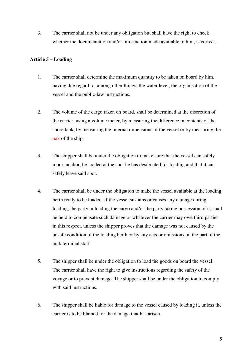3. The carrier shall not be under any obligation but shall have the right to check whether the documentation and/or information made available to him, is correct.

# **Article 5 – Loading**

- 1. The carrier shall determine the maximum quantity to be taken on board by him, having due regard to, among other things, the water level, the organisation of the vessel and the public-law instructions.
- 2. The volume of the cargo taken on board, shall be determined at the discretion of the carrier, using a volume meter, by measuring the difference in contents of the shore tank, by measuring the internal dimensions of the vessel or by measuring the oak of the ship.
- 3. The shipper shall be under the obligation to make sure that the vessel can safely moor, anchor, be loaded at the spot he has designated for loading and that it can safely leave said spot.
- 4. The carrier shall be under the obligation to make the vessel available at the loading berth ready to be loaded. If the vessel sustains or causes any damage during loading, the party unloading the cargo and/or the party taking possession of it, shall be held to compensate such damage or whatever the carrier may owe third parties in this respect, unless the shipper proves that the damage was not caused by the unsafe condition of the loading berth or by any acts or omissions on the part of the tank terminal staff.
- 5. The shipper shall be under the obligation to load the goods on board the vessel. The carrier shall have the right to give instructions regarding the safety of the voyage or to prevent damage. The shipper shall be under the obligation to comply with said instructions.
- 6. The shipper shall be liable for damage to the vessel caused by loading it, unless the carrier is to be blamed for the damage that has arisen.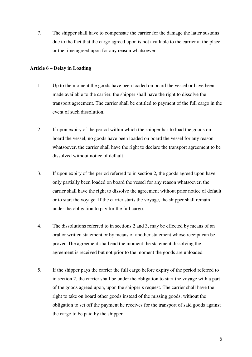7. The shipper shall have to compensate the carrier for the damage the latter sustains due to the fact that the cargo agreed upon is not available to the carrier at the place or the time agreed upon for any reason whatsoever.

# **Article 6 – Delay in Loading**

- 1. Up to the moment the goods have been loaded on board the vessel or have been made available to the carrier, the shipper shall have the right to dissolve the transport agreement. The carrier shall be entitled to payment of the full cargo in the event of such dissolution.
- 2. If upon expiry of the period within which the shipper has to load the goods on board the vessel, no goods have been loaded on board the vessel for any reason whatsoever, the carrier shall have the right to declare the transport agreement to be dissolved without notice of default.
- 3. If upon expiry of the period referred to in section 2, the goods agreed upon have only partially been loaded on board the vessel for any reason whatsoever, the carrier shall have the right to dissolve the agreement without prior notice of default or to start the voyage. If the carrier starts the voyage, the shipper shall remain under the obligation to pay for the full cargo.
- 4. The dissolutions referred to in sections 2 and 3, may be effected by means of an oral or written statement or by means of another statement whose receipt can be proved The agreement shall end the moment the statement dissolving the agreement is received but not prior to the moment the goods are unloaded.
- 5. If the shipper pays the carrier the full cargo before expiry of the period referred to in section 2, the carrier shall be under the obligation to start the voyage with a part of the goods agreed upon, upon the shipper's request. The carrier shall have the right to take on board other goods instead of the missing goods, without the obligation to set off the payment he receives for the transport of said goods against the cargo to be paid by the shipper.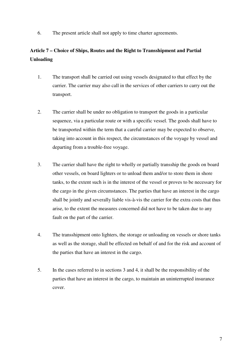6. The present article shall not apply to time charter agreements.

# **Article 7 – Choice of Ships, Routes and the Right to Transshipment and Partial Unloading**

- 1. The transport shall be carried out using vessels designated to that effect by the carrier. The carrier may also call in the services of other carriers to carry out the transport.
- 2. The carrier shall be under no obligation to transport the goods in a particular sequence, via a particular route or with a specific vessel. The goods shall have to be transported within the term that a careful carrier may be expected to observe, taking into account in this respect, the circumstances of the voyage by vessel and departing from a trouble-free voyage.
- 3. The carrier shall have the right to wholly or partially transship the goods on board other vessels, on board lighters or to unload them and/or to store them in shore tanks, to the extent such is in the interest of the vessel or proves to be necessary for the cargo in the given circumstances. The parties that have an interest in the cargo shall be jointly and severally liable vis-à-vis the carrier for the extra costs that thus arise, to the extent the measures concerned did not have to be taken due to any fault on the part of the carrier.
- 4. The transshipment onto lighters, the storage or unloading on vessels or shore tanks as well as the storage, shall be effected on behalf of and for the risk and account of the parties that have an interest in the cargo.
- 5. In the cases referred to in sections 3 and 4, it shall be the responsibility of the parties that have an interest in the cargo, to maintain an uninterrupted insurance cover.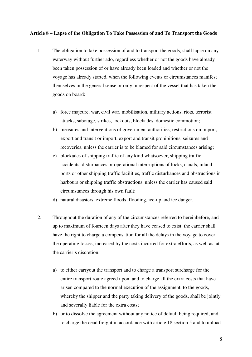#### **Article 8 – Lapse of the Obligation To Take Possession of and To Transport the Goods**

- 1. The obligation to take possession of and to transport the goods, shall lapse on any waterway without further ado, regardless whether or not the goods have already been taken possession of or have already been loaded and whether or not the voyage has already started, when the following events or circumstances manifest themselves in the general sense or only in respect of the vessel that has taken the goods on board:
	- a) force majeure, war, civil war, mobilisation, military actions, riots, terrorist attacks, sabotage, strikes, lockouts, blockades, domestic commotion;
	- b) measures and interventions of government authorities, restrictions on import, export and transit or import, export and transit prohibitions, seizures and recoveries, unless the carrier is to be blamed for said circumstances arising;
	- c) blockades of shipping traffic of any kind whatsoever, shipping traffic accidents, disturbances or operational interruptions of locks, canals, inland ports or other shipping traffic facilities, traffic disturbances and obstructions in harbours or shipping traffic obstructions, unless the carrier has caused said circumstances through his own fault;
	- d) natural disasters, extreme floods, flooding, ice-up and ice danger.
- 2. Throughout the duration of any of the circumstances referred to hereinbefore, and up to maximum of fourteen days after they have ceased to exist, the carrier shall have the right to charge a compensation for all the delays in the voyage to cover the operating losses, increased by the costs incurred for extra efforts, as well as, at the carrier's discretion:
	- a) to either carryout the transport and to charge a transport surcharge for the entire transport route agreed upon, and to charge all the extra costs that have arisen compared to the normal execution of the assignment, to the goods, whereby the shipper and the party taking delivery of the goods, shall be jointly and severally liable for the extra costs;
	- b) or to dissolve the agreement without any notice of default being required, and to charge the dead freight in accordance with article 18 section 5 and to unload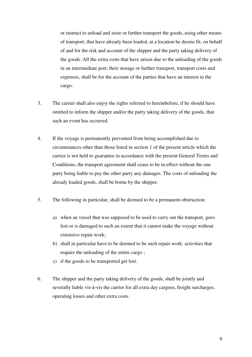or instruct to unload and store or further transport the goods, using other means of transport, that have already been loaded, at a location he deems fit, on behalf of and for the risk and account of the shipper and the party taking delivery of the goods. All the extra costs that have arisen due to the unloading of the goods in an intermediate port, their storage or further transport, transport costs and expenses, shall be for the account of the parties that have an interest in the cargo.

- 3. The carrier shall also enjoy the rights referred to hereinbefore, if he should have omitted to inform the shipper and/or the party taking delivery of the goods, that such an event has occurred.
- 4. If the voyage is permanently prevented from being accomplished due to circumstances other than those listed in section 1 of the present article which the carrier is not held to guarantee in accordance with the present General Terms and Conditions, the transport agreement shall cease to be in effect without the one party being liable to pay the other party any damages. The costs of unloading the already loaded goods, shall be borne by the shipper.
- 5. The following in particular, shall be deemed to be a permanent obstruction:
	- a) when an vessel that was supposed to be used to carry out the transport, goes lost or is damaged to such an extent that it cannot make the voyage without extensive repair work;
	- b) shall in particular have to be deemed to be such repair work: activities that require the unloading of the entire cargo ;
	- c) if the goods to be transported get lost.
- 6. The shipper and the party taking delivery of the goods, shall be jointly and severally liable vis-à-vis the carrier for all extra day cargoes, freight surcharges, operating losses and other extra costs.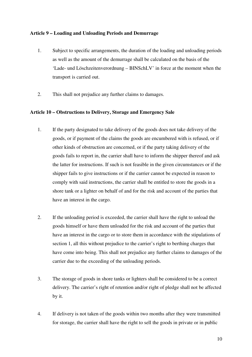# **Article 9 – Loading and Unloading Periods and Demurrage**

- 1. Subject to specific arrangements, the duration of the loading and unloading periods as well as the amount of the demurrage shall be calculated on the basis of the 'Lade- und Löschzeitenverordnung – BINSchLV' in force at the moment when the transport is carried out.
- 2. This shall not prejudice any further claims to damages.

#### **Article 10 – Obstructions to Delivery, Storage and Emergency Sale**

- 1. If the party designated to take delivery of the goods does not take delivery of the goods, or if payment of the claims the goods are encumbered with is refused, or if other kinds of obstruction are concerned, or if the party taking delivery of the goods fails to report in, the carrier shall have to inform the shipper thereof and ask the latter for instructions. If such is not feasible in the given circumstances or if the shipper fails to give instructions or if the carrier cannot be expected in reason to comply with said instructions, the carrier shall be entitled to store the goods in a shore tank or a lighter on behalf of and for the risk and account of the parties that have an interest in the cargo.
- 2. If the unloading period is exceeded, the carrier shall have the right to unload the goods himself or have them unloaded for the risk and account of the parties that have an interest in the cargo or to store them in accordance with the stipulations of section 1, all this without prejudice to the carrier's right to berthing charges that have come into being. This shall not prejudice any further claims to damages of the carrier due to the exceeding of the unloading periods.
- 3. The storage of goods in shore tanks or lighters shall be considered to be a correct delivery. The carrier's right of retention and/or right of pledge shall not be affected by it.
- 4. If delivery is not taken of the goods within two months after they were transmitted for storage, the carrier shall have the right to sell the goods in private or in public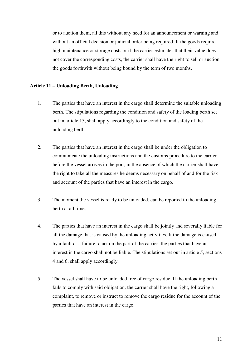or to auction them, all this without any need for an announcement or warning and without an official decision or judicial order being required. If the goods require high maintenance or storage costs or if the carrier estimates that their value does not cover the corresponding costs, the carrier shall have the right to sell or auction the goods forthwith without being bound by the term of two months.

#### **Article 11 – Unloading Berth, Unloading**

- 1. The parties that have an interest in the cargo shall determine the suitable unloading berth. The stipulations regarding the condition and safety of the loading berth set out in article 15, shall apply accordingly to the condition and safety of the unloading berth.
- 2. The parties that have an interest in the cargo shall be under the obligation to communicate the unloading instructions and the customs procedure to the carrier before the vessel arrives in the port, in the absence of which the carrier shall have the right to take all the measures he deems necessary on behalf of and for the risk and account of the parties that have an interest in the cargo.
- 3. The moment the vessel is ready to be unloaded, can be reported to the unloading berth at all times.
- 4. The parties that have an interest in the cargo shall be jointly and severally liable for all the damage that is caused by the unloading activities. If the damage is caused by a fault or a failure to act on the part of the carrier, the parties that have an interest in the cargo shall not be liable. The stipulations set out in article 5, sections 4 and 6, shall apply accordingly.
- 5. The vessel shall have to be unloaded free of cargo residue. If the unloading berth fails to comply with said obligation, the carrier shall have the right, following a complaint, to remove or instruct to remove the cargo residue for the account of the parties that have an interest in the cargo.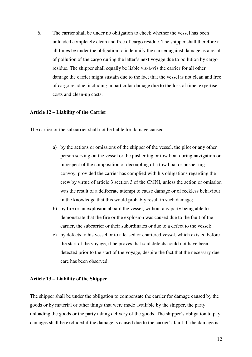6. The carrier shall be under no obligation to check whether the vessel has been unloaded completely clean and free of cargo residue. The shipper shall therefore at all times be under the obligation to indemnify the carrier against damage as a result of pollution of the cargo during the latter's next voyage due to pollution by cargo residue. The shipper shall equally be liable vis-à-vis the carrier for all other damage the carrier might sustain due to the fact that the vessel is not clean and free of cargo residue, including in particular damage due to the loss of time, expertise costs and clean-up costs.

#### **Article 12 – Liability of the Carrier**

The carrier or the subcarrier shall not be liable for damage caused

- a) by the actions or omissions of the skipper of the vessel, the pilot or any other person serving on the vessel or the pusher tug or tow boat during navigation or in respect of the composition or decoupling of a tow boat or pusher tug convoy, provided the carrier has complied with his obligations regarding the crew by virtue of article 3 section 3 of the CMNI, unless the action or omission was the result of a deliberate attempt to cause damage or of reckless behaviour in the knowledge that this would probably result in such damage;
- b) by fire or an explosion aboard the vessel, without any party being able to demonstrate that the fire or the explosion was caused due to the fault of the carrier, the subcarrier or their subordinates or due to a defect to the vessel;
- c) by defects to his vessel or to a leased or chartered vessel, which existed before the start of the voyage, if he proves that said defects could not have been detected prior to the start of the voyage, despite the fact that the necessary due care has been observed.

#### **Article 13 – Liability of the Shipper**

The shipper shall be under the obligation to compensate the carrier for damage caused by the goods or by material or other things that were made available by the shipper, the party unloading the goods or the party taking delivery of the goods. The shipper's obligation to pay damages shall be excluded if the damage is caused due to the carrier's fault. If the damage is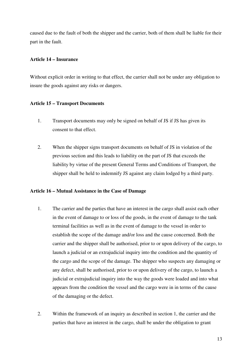caused due to the fault of both the shipper and the carrier, both of them shall be liable for their part in the fault.

#### **Article 14 – Insurance**

Without explicit order in writing to that effect, the carrier shall not be under any obligation to insure the goods against any risks or dangers.

#### **Article 15 – Transport Documents**

- 1. Transport documents may only be signed on behalf of JS if JS has given its consent to that effect.
- 2. When the shipper signs transport documents on behalf of JS in violation of the previous section and this leads to liability on the part of JS that exceeds the liability by virtue of the present General Terms and Conditions of Transport, the shipper shall be held to indemnify JS against any claim lodged by a third party.

#### **Article 16 – Mutual Assistance in the Case of Damage**

- 1. The carrier and the parties that have an interest in the cargo shall assist each other in the event of damage to or loss of the goods, in the event of damage to the tank terminal facilities as well as in the event of damage to the vessel in order to establish the scope of the damage and/or loss and the cause concerned. Both the carrier and the shipper shall be authorised, prior to or upon delivery of the cargo, to launch a judicial or an extrajudicial inquiry into the condition and the quantity of the cargo and the scope of the damage. The shipper who suspects any damaging or any defect, shall be authorised, prior to or upon delivery of the cargo, to launch a judicial or extrajudicial inquiry into the way the goods were loaded and into what appears from the condition the vessel and the cargo were in in terms of the cause of the damaging or the defect.
- 2. Within the framework of an inquiry as described in section 1, the carrier and the parties that have an interest in the cargo, shall be under the obligation to grant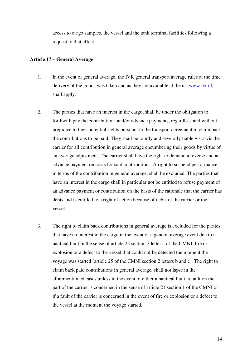access to cargo samples, the vessel and the tank terminal facilities following a request to that effect.

#### **Article 17 – General Average**

- 1. In the event of general average, the IVR general transport average rules at the time delivery of the goods was taken and as they are available at the url www.ivr.nl, shall apply.
- 2. The parties that have an interest in the cargo, shall be under the obligation to forthwith pay the contributions and/or advance payments, regardless and without prejudice to their potential rights pursuant to the transport agreement to claim back the contributions to be paid. They shall be jointly and severally liable vis-à-vis the carrier for all contribution in general average encumbering their goods by virtue of an average adjustment. The carrier shall have the right to demand a reverse and an advance payment on costs for said contributions. A right to suspend performance in terms of the contribution in general average, shall be excluded. The parties that have an interest in the cargo shall in particular not be entitled to refuse payment of an advance payment or contribution on the basis of the rationale that the carrier has debts and is entitled to a right of action because of debts of the carrier or the vessel.
- 3. The right to claim back contributions in general average is excluded for the parties that have an interest in the cargo in the event of a general average event due to a nautical fault in the sense of article 25 section 2 letter a of the CMNI, fire or explosion or a defect to the vessel that could not be detected the moment the voyage was started (article 25 of the CMNI section 2 letters b and c). The right to claim back paid contributions in general average, shall not lapse in the aforementioned cases unless in the event of either a nautical fault, a fault on the part of the carrier is concerned in the sense of article 21 section 1 of the CMNI or if a fault of the carrier is concerned in the event of fire or explosion or a defect to the vessel at the moment the voyage started.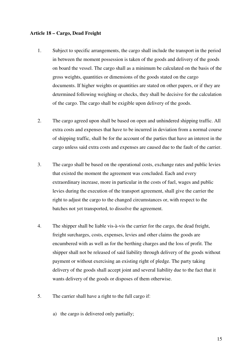#### **Article 18 – Cargo, Dead Freight**

- 1. Subject to specific arrangements, the cargo shall include the transport in the period in between the moment possession is taken of the goods and delivery of the goods on board the vessel. The cargo shall as a minimum be calculated on the basis of the gross weights, quantities or dimensions of the goods stated on the cargo documents. If higher weights or quantities are stated on other papers, or if they are determined following weighing or checks, they shall be decisive for the calculation of the cargo. The cargo shall be exigible upon delivery of the goods.
- 2. The cargo agreed upon shall be based on open and unhindered shipping traffic. All extra costs and expenses that have to be incurred in deviation from a normal course of shipping traffic, shall be for the account of the parties that have an interest in the cargo unless said extra costs and expenses are caused due to the fault of the carrier.
- 3. The cargo shall be based on the operational costs, exchange rates and public levies that existed the moment the agreement was concluded. Each and every extraordinary increase, more in particular in the costs of fuel, wages and public levies during the execution of the transport agreement, shall give the carrier the right to adjust the cargo to the changed circumstances or, with respect to the batches not yet transported, to dissolve the agreement.
- 4. The shipper shall be liable vis-à-vis the carrier for the cargo, the dead freight, freight surcharges, costs, expenses, levies and other claims the goods are encumbered with as well as for the berthing charges and the loss of profit. The shipper shall not be released of said liability through delivery of the goods without payment or without exercising an existing right of pledge. The party taking delivery of the goods shall accept joint and several liability due to the fact that it wants delivery of the goods or disposes of them otherwise.
- 5. The carrier shall have a right to the full cargo if:
	- a) the cargo is delivered only partially;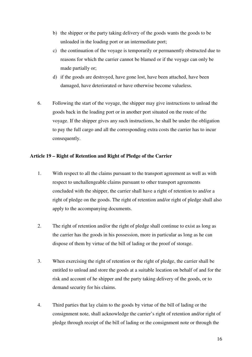- b) the shipper or the party taking delivery of the goods wants the goods to be unloaded in the loading port or an intermediate port;
- c) the continuation of the voyage is temporarily or permanently obstructed due to reasons for which the carrier cannot be blamed or if the voyage can only be made partially or;
- d) if the goods are destroyed, have gone lost, have been attached, have been damaged, have deteriorated or have otherwise become valueless.
- 6. Following the start of the voyage, the shipper may give instructions to unload the goods back in the loading port or in another port situated on the route of the voyage. If the shipper gives any such instructions, he shall be under the obligation to pay the full cargo and all the corresponding extra costs the carrier has to incur consequently.

# **Article 19 – Right of Retention and Right of Pledge of the Carrier**

- 1. With respect to all the claims pursuant to the transport agreement as well as with respect to unchallengeable claims pursuant to other transport agreements concluded with the shipper, the carrier shall have a right of retention to and/or a right of pledge on the goods. The right of retention and/or right of pledge shall also apply to the accompanying documents.
- 2. The right of retention and/or the right of pledge shall continue to exist as long as the carrier has the goods in his possession, more in particular as long as he can dispose of them by virtue of the bill of lading or the proof of storage.
- 3. When exercising the right of retention or the right of pledge, the carrier shall be entitled to unload and store the goods at a suitable location on behalf of and for the risk and account of he shipper and the party taking delivery of the goods, or to demand security for his claims.
- 4. Third parties that lay claim to the goods by virtue of the bill of lading or the consignment note, shall acknowledge the carrier's right of retention and/or right of pledge through receipt of the bill of lading or the consignment note or through the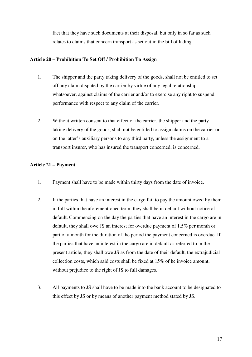fact that they have such documents at their disposal, but only in so far as such relates to claims that concern transport as set out in the bill of lading.

#### **Article 20 – Prohibition To Set Off / Prohibition To Assign**

- 1. The shipper and the party taking delivery of the goods, shall not be entitled to set off any claim disputed by the carrier by virtue of any legal relationship whatsoever, against claims of the carrier and/or to exercise any right to suspend performance with respect to any claim of the carrier.
- 2. Without written consent to that effect of the carrier, the shipper and the party taking delivery of the goods, shall not be entitled to assign claims on the carrier or on the latter's auxiliary persons to any third party, unless the assignment to a transport insurer, who has insured the transport concerned, is concerned.

# **Article 21 – Payment**

- 1. Payment shall have to be made within thirty days from the date of invoice.
- 2. If the parties that have an interest in the cargo fail to pay the amount owed by them in full within the aforementioned term, they shall be in default without notice of default. Commencing on the day the parties that have an interest in the cargo are in default, they shall owe JS an interest for overdue payment of 1.5% per month or part of a month for the duration of the period the payment concerned is overdue. If the parties that have an interest in the cargo are in default as referred to in the present article, they shall owe JS as from the date of their default, the extrajudicial collection costs, which said costs shall be fixed at 15% of he invoice amount, without prejudice to the right of JS to full damages.
- 3. All payments to JS shall have to be made into the bank account to be designated to this effect by JS or by means of another payment method stated by JS.